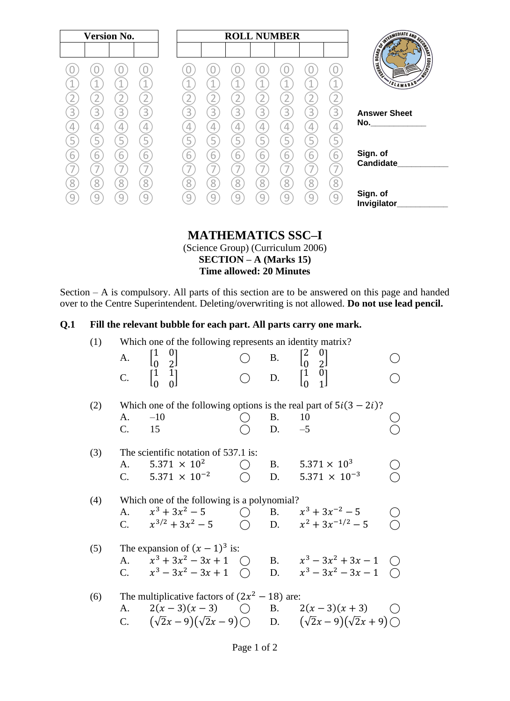| <b>Version No.</b> |                                         |                          |             |             | <b>ROLL NUMBER</b>                                   |             |                          |                               |                                    |                                                                                                                  |
|--------------------|-----------------------------------------|--------------------------|-------------|-------------|------------------------------------------------------|-------------|--------------------------|-------------------------------|------------------------------------|------------------------------------------------------------------------------------------------------------------|
| 3                  | 3<br>3                                  | 3                        | 3           | 3           | 3                                                    | 3           | 3                        | А<br>3                        | $\mathbf 1$<br>$\overline{2}$<br>3 | <b>ENGINEERING SCRIPTION OF CHARGES</b><br><b>EDUCATION</b><br><b>TABLES</b><br>SLAMABAD"<br><b>Answer Sheet</b> |
| ъ.<br>b            | 4<br>4<br>5<br>5<br>$\overline{6}$<br>6 | 4<br>$\overline{5}$<br>6 | 4<br>5<br>6 | 4<br>5<br>6 | 4<br>5<br>$\overline{6}$<br>$\overline{\phantom{a}}$ | 4<br>5<br>6 | 4<br>5<br>$\overline{6}$ | $\overline{4}$<br>5<br>6<br>- | 4<br>5<br>$\sqrt{6}$               | Sign. of<br>Candidate                                                                                            |
| 8                  | 8<br>8<br>9<br>Ч                        | 8<br>9                   | 8           | 8           | $\overline{8}$<br>9                                  | 8           | 8<br>9                   | 8<br>9                        | 8<br>9                             | Sign. of<br>Invigilator_                                                                                         |

#### **MATHEMATICS SSC–I** (Science Group) (Curriculum 2006) **SECTION – A (Marks 15)**

**Time allowed: 20 Minutes**

Section – A is compulsory. All parts of this section are to be answered on this page and handed over to the Centre Superintendent. Deleting/overwriting is not allowed. **Do not use lead pencil.**

### **Q.1 Fill the relevant bubble for each part. All parts carry one mark.**

| (1) | Which one of the following represents an identity matrix?                                              |       |                           |                                                  |            |              |                                                                                                                                              |  |  |  |
|-----|--------------------------------------------------------------------------------------------------------|-------|---------------------------|--------------------------------------------------|------------|--------------|----------------------------------------------------------------------------------------------------------------------------------------------|--|--|--|
|     | A. $\begin{bmatrix} 1 & 0 \\ 0 & 2 \end{bmatrix}$<br>C. $\begin{bmatrix} 1 & 1 \\ 0 & 0 \end{bmatrix}$ |       |                           |                                                  |            |              | $\begin{bmatrix} 0 & B & \begin{bmatrix} 2 & 0 \\ 0 & 2 \end{bmatrix} \\ 0 & D & \begin{bmatrix} 1 & 0 \\ 0 & 1 \end{bmatrix} \end{bmatrix}$ |  |  |  |
|     |                                                                                                        |       |                           |                                                  |            |              |                                                                                                                                              |  |  |  |
| (2) |                                                                                                        |       |                           |                                                  |            |              | Which one of the following options is the real part of $5i(3 – 2i)$ ?                                                                        |  |  |  |
|     | A.                                                                                                     | $-10$ |                           |                                                  |            | <b>B.</b> 10 |                                                                                                                                              |  |  |  |
|     | $C_{\cdot}$<br>15                                                                                      |       |                           |                                                  |            | D. $-5$      |                                                                                                                                              |  |  |  |
| (3) |                                                                                                        |       |                           | The scientific notation of 537.1 is:             |            |              |                                                                                                                                              |  |  |  |
|     | A.                                                                                                     |       | $5.371 \times 10^{2}$     |                                                  |            |              | B. $5.371 \times 10^3$                                                                                                                       |  |  |  |
|     |                                                                                                        |       | C. $5.371 \times 10^{-2}$ |                                                  |            | D.           | $5.371 \times 10^{-3}$                                                                                                                       |  |  |  |
| (4) |                                                                                                        |       |                           | Which one of the following is a polynomial?      |            |              |                                                                                                                                              |  |  |  |
|     |                                                                                                        |       | A. $x^3 + 3x^2 - 5$       |                                                  | $\bigcirc$ |              | B. $x^3 + 3x^{-2} - 5$                                                                                                                       |  |  |  |
|     |                                                                                                        |       |                           | C. $x^{3/2} + 3x^2 - 5$                          |            |              | () D. $x^2 + 3x^{-1/2} - 5$                                                                                                                  |  |  |  |
| (5) |                                                                                                        |       |                           | The expansion of $(x - 1)^3$ is:                 |            |              |                                                                                                                                              |  |  |  |
|     |                                                                                                        |       |                           | A. $x^3 + 3x^2 - 3x + 1$ ()                      |            |              | B. $x^3 - 3x^2 + 3x - 1$ (                                                                                                                   |  |  |  |
|     |                                                                                                        |       |                           | C. $x^3 - 3x^2 - 3x + 1$ (                       |            |              | D. $x^3 - 3x^2 - 3x - 1$ (1)                                                                                                                 |  |  |  |
| (6) |                                                                                                        |       |                           | The multiplicative factors of $(2x^2 - 18)$ are: |            |              |                                                                                                                                              |  |  |  |
|     | A.                                                                                                     |       |                           |                                                  |            |              | $2(x-3)(x-3)$ ( ) B. $2(x-3)(x+3)$                                                                                                           |  |  |  |
|     |                                                                                                        |       |                           |                                                  |            |              | C. $(\sqrt{2}x-9)(\sqrt{2}x-9)$ D. $(\sqrt{2}x-9)(\sqrt{2}x+9)$                                                                              |  |  |  |
|     |                                                                                                        |       |                           |                                                  |            |              |                                                                                                                                              |  |  |  |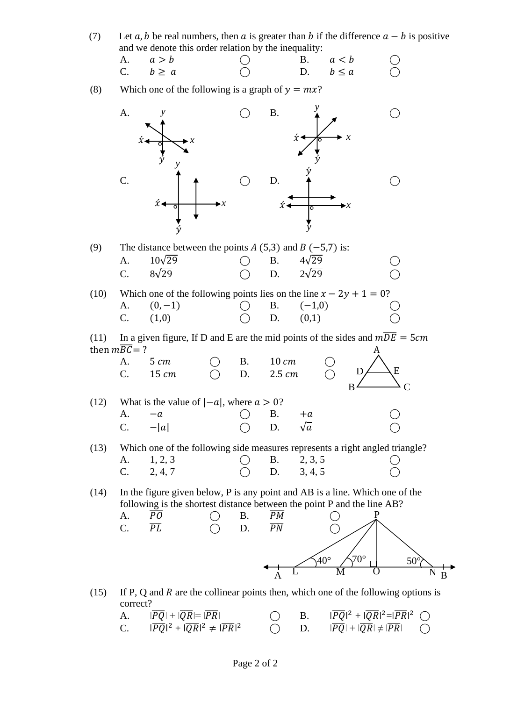(7) Let a, b be real numbers, then a is greater than b if the difference  $a - b$  is positive and we denote this order relation by the inequality:

| A. $a > b$   |  | B. $a < b$   | $\bigcirc$ |
|--------------|--|--------------|------------|
| C. $b \ge a$ |  | D. $b \le a$ | $\bigcirc$ |

(8) Which one of the following is a graph of  $y = mx$ ?



A.  $|\overline{PO}| + |\overline{OR}| = |\overline{PR}|$  ( B.  $2 + |\overline{QR}|^2 = |\overline{PR}|^2$ C.  $|\overline{PQ}|^2 + |\overline{QR}|^2 \neq |\overline{PR}|$  $\bigcap$  D.  $|\overline{PQ}| + |\overline{QR}| \neq |\overline{PR}|$   $\bigcap$  B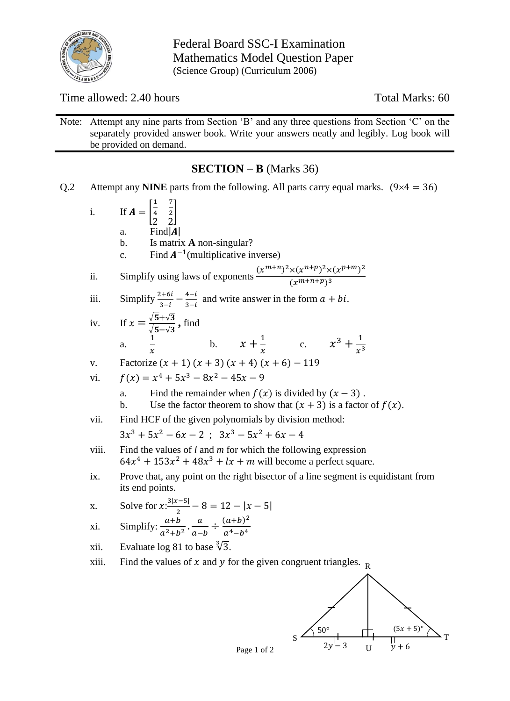

Federal Board SSC-I Examination Mathematics Model Question Paper (Science Group) (Curriculum 2006)

Time allowed: 2.40 hours Total Marks: 60

Note: Attempt any nine parts from Section 'B' and any three questions from Section 'C' on the separately provided answer book. Write your answers neatly and legibly. Log book will be provided on demand.

## **SECTION – B** (Marks 36)

Q.2 Attempt any **NINE** parts from the following. All parts carry equal marks.  $(9 \times 4 = 36)$ 

i. If 
$$
A = \begin{bmatrix} \frac{1}{4} & \frac{7}{2} \\ \frac{1}{2} & \frac{1}{2} \end{bmatrix}
$$
  
\na. Find  $|A|$   
\nb. Is matrix **A** non-singular?  
\nc. Find  $A^{-1}$  (multiplicative inverse)  
\nii. Simplify using laws of exponents  $\frac{(x^{m+n})^2 \times (x^{n+p})^2 \times (x^{p+m})^2}{(x^{m+n+p})^3}$   
\niii. Simplify  $\frac{2+6i}{3-i} = \frac{4-i}{3-i}$  and write answer in the form  $a + bi$ .  
\niv. If  $x = \frac{\sqrt{5} + \sqrt{3}}{\sqrt{5} - \sqrt{3}}$ , find  
\na.  $\frac{1}{x}$  b.  $x + \frac{1}{x}$  c.  $x^3 + \frac{1}{x^3}$   
\nv. Factorize  $(x + 1)(x + 3)(x + 4)(x + 6) - 119$   
\nvi.  $f(x) = x^4 + 5x^3 - 8x^2 - 45x - 9$   
\na. Find the remainder when  $f(x)$  is divided by  $(x - 3)$ .  
\nb. Use the factor theorem to show that  $(x + 3)$  is a factor of  $f(x)$ .  
\nvii. Find HCF of the given polynomials by division method:  
\n $3x^3 + 5x^2 - 6x - 2$ ;  $3x^3 - 5x^2 + 6x - 4$   
\nviii. Find the values of l and m for which the following expression  
\n $64x^4 + 153x^2 + 48x^3 + lx + m$  will become a perfect square.  
\nix. Prove that, any point on the right bisector of a line segment is equidistant from  
\nits end points.  
\nx. Solve for  $x: \frac{3|x-5|}{2} - 8 = 12 - |x - 5|$   
\nxi. Simplify:  $\frac{a+b}{a^2+b^2} \cdot \frac{a}{a-b} \div \frac{(a+b)^2}{a^4-b^4}$   
\nxii. Evaluate log 81 to base  $\sqrt[3]{3}$ .

xiii. Find the values of  $x$  and  $y$  for the given congruent triangles.  $<sub>R</sub>$ </sub>

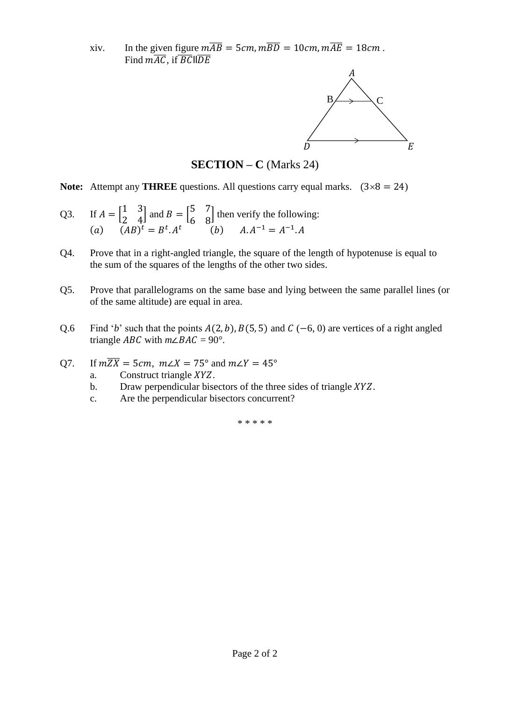xiv. In the given figure  $m\overline{AB} = 5cm$ ,  $m\overline{BD} = 10cm$ ,  $m\overline{AE} = 18cm$ . Find  $m\overline{AC}$ , if  $\overline{BC}$ ll $\overline{DE}$ 



**SECTION – C** (Marks 24)

**Note:** Attempt any **THREE** questions. All questions carry equal marks.  $(3 \times 8 = 24)$ 

- Q3. If  $A = \begin{bmatrix} 1 & 3 \\ 2 & 4 \end{bmatrix}$  $\begin{bmatrix} 1 & 3 \\ 2 & 4 \end{bmatrix}$  and  $B = \begin{bmatrix} 5 & 7 \\ 6 & 8 \end{bmatrix}$  $\begin{bmatrix} 5 & 6 \\ 6 & 8 \end{bmatrix}$  then verify the following: (a)  $(AB)^t = B^t.A^t$  (b)  $A.A^{-1} = A^{-1}.A$
- Q4. Prove that in a right-angled triangle, the square of the length of hypotenuse is equal to the sum of the squares of the lengths of the other two sides.
- Q5. Prove that parallelograms on the same base and lying between the same parallel lines (or of the same altitude) are equal in area.
- Q.6 Find '*b*' such that the points  $A(2, b)$ ,  $B(5, 5)$  and  $C(-6, 0)$  are vertices of a right angled triangle *ABC* with  $m\angle BAC = 90^\circ$ .
- Q7. If  $m\overline{ZX} = 5cm$ ,  $m\angle X = 75^\circ$  and  $m\angle Y = 45^\circ$ 
	- a. Construct triangle  $XYZ$ .
	- b. Draw perpendicular bisectors of the three sides of triangle  $XYZ$ .
	- c. Are the perpendicular bisectors concurrent?

\* \* \* \* \*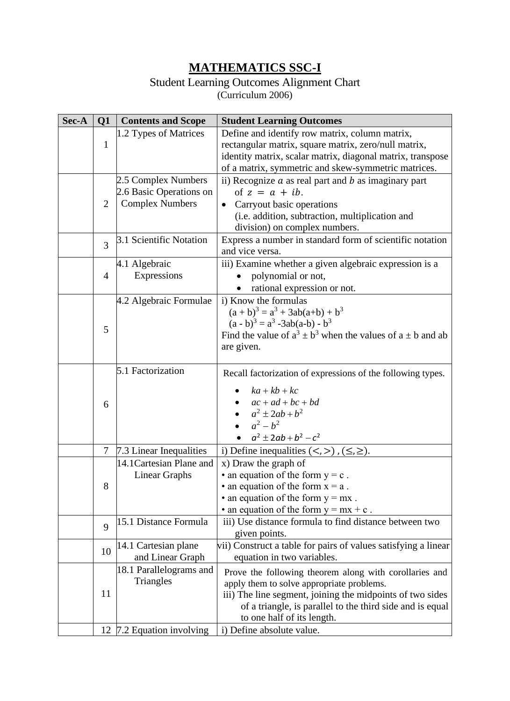# **MATHEMATICS SSC-I**

## Student Learning Outcomes Alignment Chart

(Curriculum 2006)

| Sec-A | Q1             | <b>Contents and Scope</b>                                                | <b>Student Learning Outcomes</b>                                                                                                                                                                                                                            |
|-------|----------------|--------------------------------------------------------------------------|-------------------------------------------------------------------------------------------------------------------------------------------------------------------------------------------------------------------------------------------------------------|
|       | $\mathbf{1}$   | 1.2 Types of Matrices                                                    | Define and identify row matrix, column matrix,<br>rectangular matrix, square matrix, zero/null matrix,<br>identity matrix, scalar matrix, diagonal matrix, transpose<br>of a matrix, symmetric and skew-symmetric matrices.                                 |
|       | $\overline{2}$ | 2.5 Complex Numbers<br>2.6 Basic Operations on<br><b>Complex Numbers</b> | ii) Recognize $a$ as real part and $b$ as imaginary part<br>of $z = a + ib$ .<br>Carryout basic operations<br>(i.e. addition, subtraction, multiplication and<br>division) on complex numbers.                                                              |
|       | 3              | 3.1 Scientific Notation                                                  | Express a number in standard form of scientific notation<br>and vice versa.                                                                                                                                                                                 |
|       | $\overline{4}$ | 4.1 Algebraic<br>Expressions                                             | iii) Examine whether a given algebraic expression is a<br>polynomial or not,<br>rational expression or not.                                                                                                                                                 |
|       | 5              | 4.2 Algebraic Formulae                                                   | i) Know the formulas<br>$(a + b)3 = a3 + 3ab(a+b) + b3$<br>$(a - b)^3 = a^3 - 3ab(a-b) - b^3$<br>Find the value of $a^3 \pm b^3$ when the values of $a \pm b$ and ab<br>are given.                                                                          |
|       | 6              | 5.1 Factorization                                                        | Recall factorization of expressions of the following types.<br>$ka + kb + kc$<br>$ac + ad + bc + bd$<br>$a^2 \pm 2ab + b^2$<br>$a^2-b^2$<br>$a^2 \pm 2ab + b^2 - c^2$                                                                                       |
|       | $\tau$         | 7.3 Linear Inequalities                                                  | i) Define inequalities $(<,>)$ , $(\le, \ge)$ .                                                                                                                                                                                                             |
|       | 8              | 14.1 Cartesian Plane and<br>Linear Graphs                                | x) Draw the graph of<br>• an equation of the form $y = c$ .<br>• an equation of the form $x = a$ .<br>• an equation of the form $y = mx$ .<br>• an equation of the form $y = mx + c$ .                                                                      |
|       | 9              | 15.1 Distance Formula                                                    | iii) Use distance formula to find distance between two<br>given points.                                                                                                                                                                                     |
|       | 10             | 14.1 Cartesian plane<br>and Linear Graph                                 | vii) Construct a table for pairs of values satisfying a linear<br>equation in two variables.                                                                                                                                                                |
|       | 11             | 18.1 Parallelograms and<br>Triangles                                     | Prove the following theorem along with corollaries and<br>apply them to solve appropriate problems.<br>iii) The line segment, joining the midpoints of two sides<br>of a triangle, is parallel to the third side and is equal<br>to one half of its length. |
|       |                | 12 7.2 Equation involving                                                | i) Define absolute value.                                                                                                                                                                                                                                   |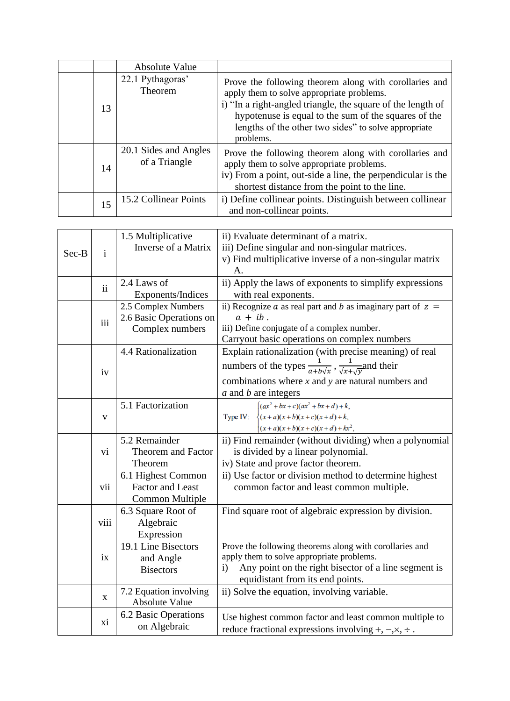|    | <b>Absolute Value</b>                  |                                                                                                                                                                                                                                                                                                 |
|----|----------------------------------------|-------------------------------------------------------------------------------------------------------------------------------------------------------------------------------------------------------------------------------------------------------------------------------------------------|
| 13 | 22.1 Pythagoras'<br>Theorem            | Prove the following theorem along with corollaries and<br>apply them to solve appropriate problems.<br>i) "In a right-angled triangle, the square of the length of<br>hypotenuse is equal to the sum of the squares of the<br>lengths of the other two sides" to solve appropriate<br>problems. |
| 14 | 20.1 Sides and Angles<br>of a Triangle | Prove the following theorem along with corollaries and<br>apply them to solve appropriate problems.<br>iv) From a point, out-side a line, the perpendicular is the<br>shortest distance from the point to the line.                                                                             |
| 15 | 15.2 Collinear Points                  | i) Define collinear points. Distinguish between collinear<br>and non-collinear points.                                                                                                                                                                                                          |

|       |               | 1.5 Multiplicative      | ii) Evaluate determinant of a matrix.                                                  |  |  |  |  |  |  |  |
|-------|---------------|-------------------------|----------------------------------------------------------------------------------------|--|--|--|--|--|--|--|
|       |               | Inverse of a Matrix     | iii) Define singular and non-singular matrices.                                        |  |  |  |  |  |  |  |
| Sec-B | $\mathbf{i}$  |                         | v) Find multiplicative inverse of a non-singular matrix                                |  |  |  |  |  |  |  |
|       |               |                         | Α.                                                                                     |  |  |  |  |  |  |  |
|       | $\mathbf{ii}$ | 2.4 Laws of             | ii) Apply the laws of exponents to simplify expressions                                |  |  |  |  |  |  |  |
|       |               | Exponents/Indices       | with real exponents.                                                                   |  |  |  |  |  |  |  |
|       |               | 2.5 Complex Numbers     | ii) Recognize a as real part and b as imaginary part of $z =$                          |  |  |  |  |  |  |  |
|       | iii           | 2.6 Basic Operations on | $a + ib$ .                                                                             |  |  |  |  |  |  |  |
|       |               | Complex numbers         | iii) Define conjugate of a complex number.                                             |  |  |  |  |  |  |  |
|       |               |                         | Carryout basic operations on complex numbers                                           |  |  |  |  |  |  |  |
|       |               | 4.4 Rationalization     | Explain rationalization (with precise meaning) of real                                 |  |  |  |  |  |  |  |
|       | iv            |                         | numbers of the types $\frac{1}{a+b\sqrt{x}}$ , $\frac{1}{\sqrt{x}+\sqrt{v}}$ and their |  |  |  |  |  |  |  |
|       |               |                         | combinations where $x$ and $y$ are natural numbers and                                 |  |  |  |  |  |  |  |
|       |               |                         | a and b are integers                                                                   |  |  |  |  |  |  |  |
|       |               | 5.1 Factorization       | $\int (ax^2 + bx + c)(ax^2 + bx + d) + k,$                                             |  |  |  |  |  |  |  |
|       | V             |                         | Type IV:<br>$\frac{1}{2}(x+a)(x+b)(x+c)(x+d)+k,$                                       |  |  |  |  |  |  |  |
|       |               |                         | $(x+a)(x+b)(x+c)(x+d)+kx^{2},$                                                         |  |  |  |  |  |  |  |
|       |               | 5.2 Remainder           | ii) Find remainder (without dividing) when a polynomial                                |  |  |  |  |  |  |  |
|       | Vİ.           | Theorem and Factor      | is divided by a linear polynomial.                                                     |  |  |  |  |  |  |  |
|       |               | Theorem                 | iv) State and prove factor theorem.                                                    |  |  |  |  |  |  |  |
|       |               | 6.1 Highest Common      | ii) Use factor or division method to determine highest                                 |  |  |  |  |  |  |  |
|       | vii           | <b>Factor and Least</b> | common factor and least common multiple.                                               |  |  |  |  |  |  |  |
|       |               | <b>Common Multiple</b>  |                                                                                        |  |  |  |  |  |  |  |
|       |               | 6.3 Square Root of      | Find square root of algebraic expression by division.                                  |  |  |  |  |  |  |  |
|       | viii          | Algebraic               |                                                                                        |  |  |  |  |  |  |  |
|       |               | Expression              |                                                                                        |  |  |  |  |  |  |  |
|       |               | 19.1 Line Bisectors     | Prove the following theorems along with corollaries and                                |  |  |  |  |  |  |  |
|       | ix            | and Angle               | apply them to solve appropriate problems.                                              |  |  |  |  |  |  |  |
|       |               | <b>Bisectors</b>        | Any point on the right bisector of a line segment is<br>$\mathbf{i}$                   |  |  |  |  |  |  |  |
|       |               |                         | equidistant from its end points.                                                       |  |  |  |  |  |  |  |
|       |               | 7.2 Equation involving  | ii) Solve the equation, involving variable.                                            |  |  |  |  |  |  |  |
|       | $\mathbf{X}$  | Absolute Value          |                                                                                        |  |  |  |  |  |  |  |
|       |               | 6.2 Basic Operations    | Use highest common factor and least common multiple to                                 |  |  |  |  |  |  |  |
|       | xi            | on Algebraic            | reduce fractional expressions involving $+, -, \times, \div$ .                         |  |  |  |  |  |  |  |
|       |               |                         |                                                                                        |  |  |  |  |  |  |  |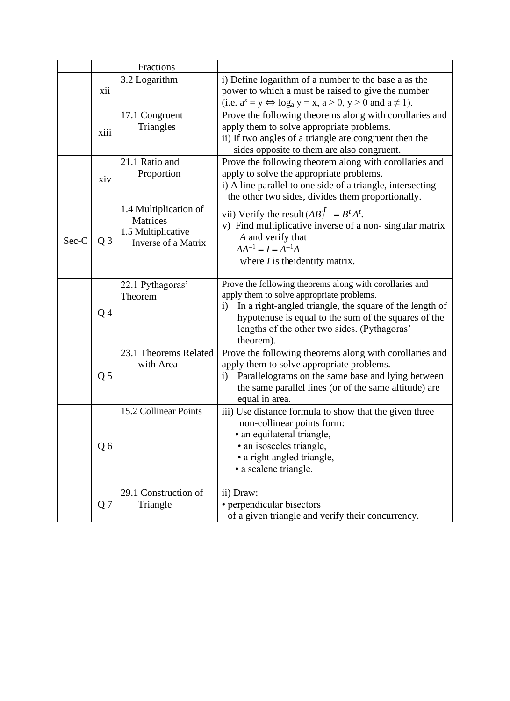|       |                | Fractions                                                                             |                                                                                                                                                                                                                                                                                                  |
|-------|----------------|---------------------------------------------------------------------------------------|--------------------------------------------------------------------------------------------------------------------------------------------------------------------------------------------------------------------------------------------------------------------------------------------------|
|       | xii            | 3.2 Logarithm                                                                         | i) Define logarithm of a number to the base a as the<br>power to which a must be raised to give the number<br>(i.e. $\underline{a}^x = y \Leftrightarrow \log_a y = x, a > 0, y > 0$ and $a \neq 1$ ).                                                                                           |
|       | xiii           | 17.1 Congruent<br>Triangles                                                           | Prove the following theorems along with corollaries and<br>apply them to solve appropriate problems.<br>ii) If two angles of a triangle are congruent then the<br>sides opposite to them are also congruent.                                                                                     |
|       | xiv            | 21.1 Ratio and<br>Proportion                                                          | Prove the following theorem along with corollaries and<br>apply to solve the appropriate problems.<br>i) A line parallel to one side of a triangle, intersecting<br>the other two sides, divides them proportionally.                                                                            |
| Sec-C | $Q_3$          | 1.4 Multiplication of<br><b>Matrices</b><br>1.5 Multiplicative<br>Inverse of a Matrix | vii) Verify the result $(AB)^t = B^t A^t$ .<br>v) Find multiplicative inverse of a non-singular matrix<br>A and verify that<br>$AA^{-1} = I = A^{-1}A$<br>where $I$ is the identity matrix.                                                                                                      |
|       | Q <sub>4</sub> | 22.1 Pythagoras'<br>Theorem                                                           | Prove the following theorems along with corollaries and<br>apply them to solve appropriate problems.<br>In a right-angled triangle, the square of the length of<br>$\rm i)$<br>hypotenuse is equal to the sum of the squares of the<br>lengths of the other two sides. (Pythagoras'<br>theorem). |
|       | Q <sub>5</sub> | 23.1 Theorems Related<br>with Area                                                    | Prove the following theorems along with corollaries and<br>apply them to solve appropriate problems.<br>Parallelograms on the same base and lying between<br>$\ddot{1}$<br>the same parallel lines (or of the same altitude) are<br>equal in area.                                               |
|       | Q6             | 15.2 Collinear Points                                                                 | iii) Use distance formula to show that the given three<br>non-collinear points form:<br>· an equilateral triangle,<br>· an isosceles triangle,<br>• a right angled triangle,<br>· a scalene triangle.                                                                                            |
|       | Q <sub>7</sub> | 29.1 Construction of<br>Triangle                                                      | ii) Draw:<br>• perpendicular bisectors<br>of a given triangle and verify their concurrency.                                                                                                                                                                                                      |